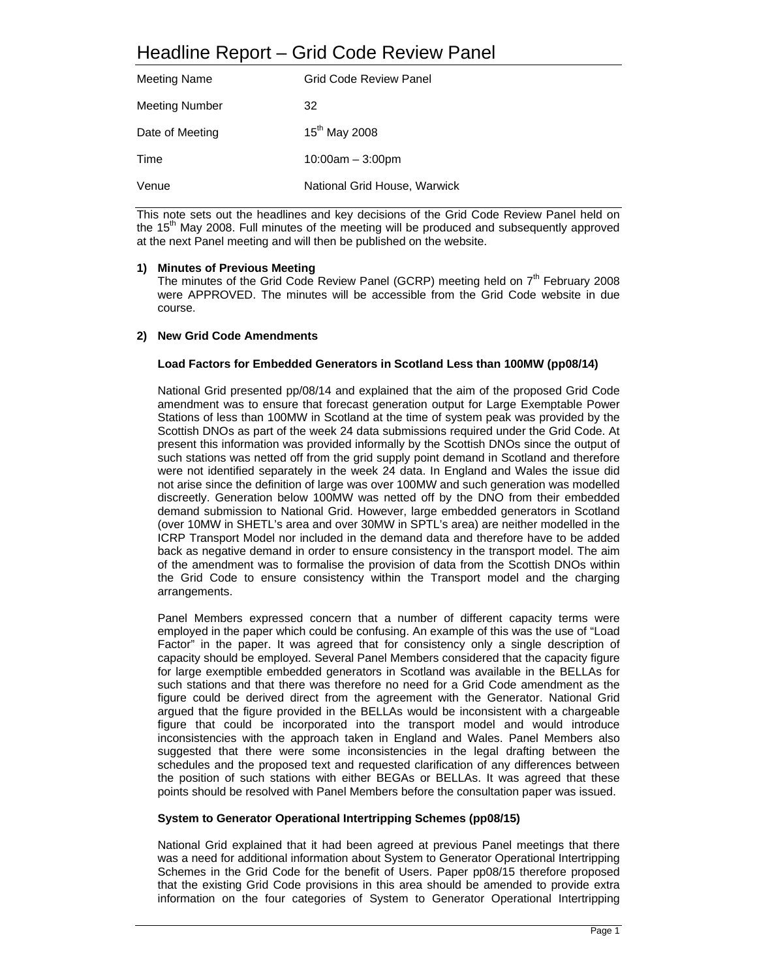| <b>Meeting Name</b>   | Grid Code Review Panel       |
|-----------------------|------------------------------|
| <b>Meeting Number</b> | 32                           |
| Date of Meeting       | $15^{th}$ May 2008           |
| Time                  | $10:00am - 3:00pm$           |
| Venue                 | National Grid House, Warwick |

This note sets out the headlines and key decisions of the Grid Code Review Panel held on the  $15<sup>th</sup>$  May 2008. Full minutes of the meeting will be produced and subsequently approved at the next Panel meeting and will then be published on the website.

# **1) Minutes of Previous Meeting**

The minutes of the Grid Code Review Panel (GCRP) meeting held on  $7<sup>th</sup>$  February 2008 were APPROVED. The minutes will be accessible from the Grid Code website in due course.

# **2) New Grid Code Amendments**

## **Load Factors for Embedded Generators in Scotland Less than 100MW (pp08/14)**

National Grid presented pp/08/14 and explained that the aim of the proposed Grid Code amendment was to ensure that forecast generation output for Large Exemptable Power Stations of less than 100MW in Scotland at the time of system peak was provided by the Scottish DNOs as part of the week 24 data submissions required under the Grid Code. At present this information was provided informally by the Scottish DNOs since the output of such stations was netted off from the grid supply point demand in Scotland and therefore were not identified separately in the week 24 data. In England and Wales the issue did not arise since the definition of large was over 100MW and such generation was modelled discreetly. Generation below 100MW was netted off by the DNO from their embedded demand submission to National Grid. However, large embedded generators in Scotland (over 10MW in SHETL's area and over 30MW in SPTL's area) are neither modelled in the ICRP Transport Model nor included in the demand data and therefore have to be added back as negative demand in order to ensure consistency in the transport model. The aim of the amendment was to formalise the provision of data from the Scottish DNOs within the Grid Code to ensure consistency within the Transport model and the charging arrangements.

Panel Members expressed concern that a number of different capacity terms were employed in the paper which could be confusing. An example of this was the use of "Load Factor" in the paper. It was agreed that for consistency only a single description of capacity should be employed. Several Panel Members considered that the capacity figure for large exemptible embedded generators in Scotland was available in the BELLAs for such stations and that there was therefore no need for a Grid Code amendment as the figure could be derived direct from the agreement with the Generator. National Grid argued that the figure provided in the BELLAs would be inconsistent with a chargeable figure that could be incorporated into the transport model and would introduce inconsistencies with the approach taken in England and Wales. Panel Members also suggested that there were some inconsistencies in the legal drafting between the schedules and the proposed text and requested clarification of any differences between the position of such stations with either BEGAs or BELLAs. It was agreed that these points should be resolved with Panel Members before the consultation paper was issued.

#### **System to Generator Operational Intertripping Schemes (pp08/15)**

National Grid explained that it had been agreed at previous Panel meetings that there was a need for additional information about System to Generator Operational Intertripping Schemes in the Grid Code for the benefit of Users. Paper pp08/15 therefore proposed that the existing Grid Code provisions in this area should be amended to provide extra information on the four categories of System to Generator Operational Intertripping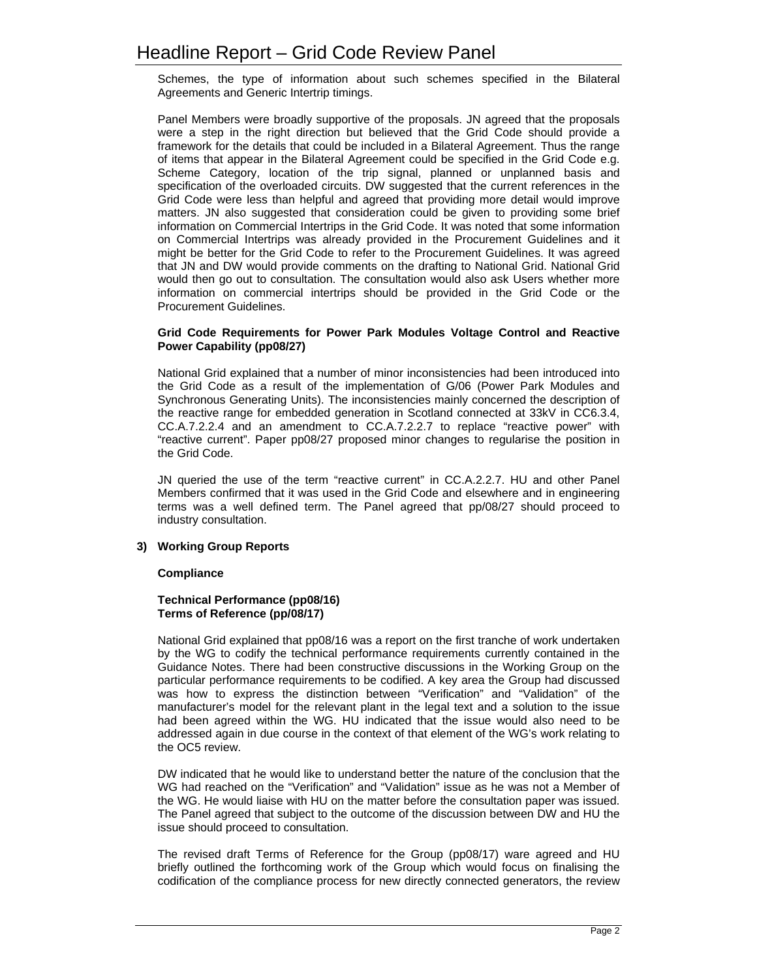Schemes, the type of information about such schemes specified in the Bilateral Agreements and Generic Intertrip timings.

Panel Members were broadly supportive of the proposals. JN agreed that the proposals were a step in the right direction but believed that the Grid Code should provide a framework for the details that could be included in a Bilateral Agreement. Thus the range of items that appear in the Bilateral Agreement could be specified in the Grid Code e.g. Scheme Category, location of the trip signal, planned or unplanned basis and specification of the overloaded circuits. DW suggested that the current references in the Grid Code were less than helpful and agreed that providing more detail would improve matters. JN also suggested that consideration could be given to providing some brief information on Commercial Intertrips in the Grid Code. It was noted that some information on Commercial Intertrips was already provided in the Procurement Guidelines and it might be better for the Grid Code to refer to the Procurement Guidelines. It was agreed that JN and DW would provide comments on the drafting to National Grid. National Grid would then go out to consultation. The consultation would also ask Users whether more information on commercial intertrips should be provided in the Grid Code or the Procurement Guidelines.

## **Grid Code Requirements for Power Park Modules Voltage Control and Reactive Power Capability (pp08/27)**

National Grid explained that a number of minor inconsistencies had been introduced into the Grid Code as a result of the implementation of G/06 (Power Park Modules and Synchronous Generating Units). The inconsistencies mainly concerned the description of the reactive range for embedded generation in Scotland connected at 33kV in CC6.3.4, CC.A.7.2.2.4 and an amendment to CC.A.7.2.2.7 to replace "reactive power" with "reactive current". Paper pp08/27 proposed minor changes to regularise the position in the Grid Code.

JN queried the use of the term "reactive current" in CC.A.2.2.7. HU and other Panel Members confirmed that it was used in the Grid Code and elsewhere and in engineering terms was a well defined term. The Panel agreed that pp/08/27 should proceed to industry consultation.

# **3) Working Group Reports**

# **Compliance**

## **Technical Performance (pp08/16) Terms of Reference (pp/08/17)**

National Grid explained that pp08/16 was a report on the first tranche of work undertaken by the WG to codify the technical performance requirements currently contained in the Guidance Notes. There had been constructive discussions in the Working Group on the particular performance requirements to be codified. A key area the Group had discussed was how to express the distinction between "Verification" and "Validation" of the manufacturer's model for the relevant plant in the legal text and a solution to the issue had been agreed within the WG. HU indicated that the issue would also need to be addressed again in due course in the context of that element of the WG's work relating to the OC5 review.

DW indicated that he would like to understand better the nature of the conclusion that the WG had reached on the "Verification" and "Validation" issue as he was not a Member of the WG. He would liaise with HU on the matter before the consultation paper was issued. The Panel agreed that subject to the outcome of the discussion between DW and HU the issue should proceed to consultation.

The revised draft Terms of Reference for the Group (pp08/17) ware agreed and HU briefly outlined the forthcoming work of the Group which would focus on finalising the codification of the compliance process for new directly connected generators, the review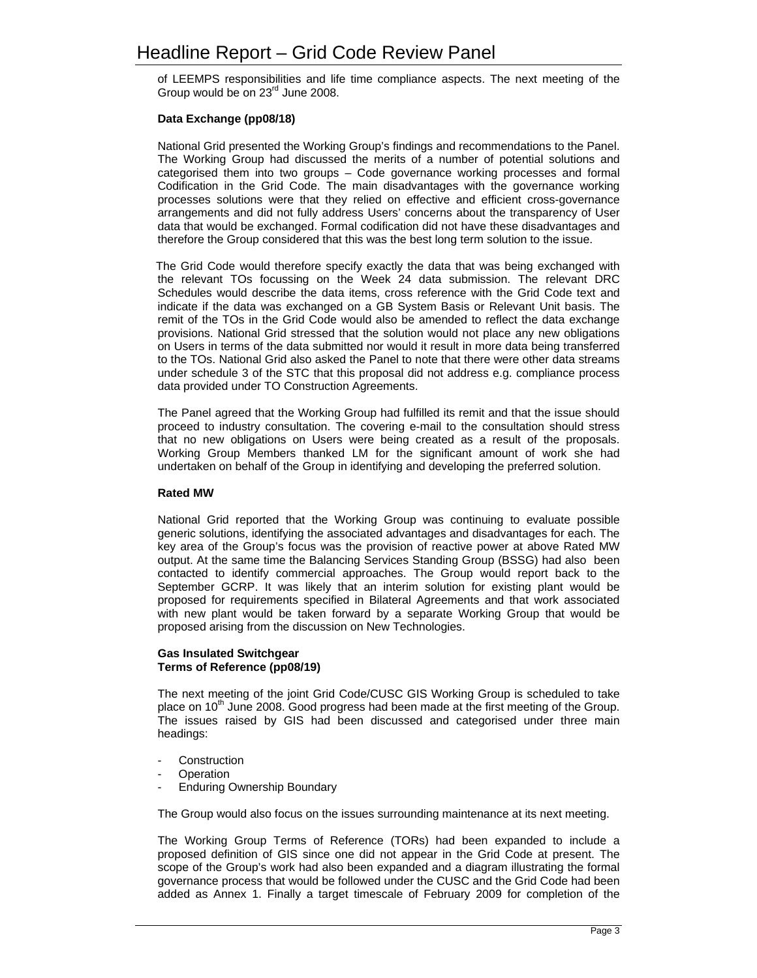of LEEMPS responsibilities and life time compliance aspects. The next meeting of the Group would be on 23<sup>rd</sup> June 2008.

# **Data Exchange (pp08/18)**

National Grid presented the Working Group's findings and recommendations to the Panel. The Working Group had discussed the merits of a number of potential solutions and categorised them into two groups – Code governance working processes and formal Codification in the Grid Code. The main disadvantages with the governance working processes solutions were that they relied on effective and efficient cross-governance arrangements and did not fully address Users' concerns about the transparency of User data that would be exchanged. Formal codification did not have these disadvantages and therefore the Group considered that this was the best long term solution to the issue.

 The Grid Code would therefore specify exactly the data that was being exchanged with the relevant TOs focussing on the Week 24 data submission. The relevant DRC Schedules would describe the data items, cross reference with the Grid Code text and indicate if the data was exchanged on a GB System Basis or Relevant Unit basis. The remit of the TOs in the Grid Code would also be amended to reflect the data exchange provisions. National Grid stressed that the solution would not place any new obligations on Users in terms of the data submitted nor would it result in more data being transferred to the TOs. National Grid also asked the Panel to note that there were other data streams under schedule 3 of the STC that this proposal did not address e.g. compliance process data provided under TO Construction Agreements.

The Panel agreed that the Working Group had fulfilled its remit and that the issue should proceed to industry consultation. The covering e-mail to the consultation should stress that no new obligations on Users were being created as a result of the proposals. Working Group Members thanked LM for the significant amount of work she had undertaken on behalf of the Group in identifying and developing the preferred solution.

# **Rated MW**

National Grid reported that the Working Group was continuing to evaluate possible generic solutions, identifying the associated advantages and disadvantages for each. The key area of the Group's focus was the provision of reactive power at above Rated MW output. At the same time the Balancing Services Standing Group (BSSG) had also been contacted to identify commercial approaches. The Group would report back to the September GCRP. It was likely that an interim solution for existing plant would be proposed for requirements specified in Bilateral Agreements and that work associated with new plant would be taken forward by a separate Working Group that would be proposed arising from the discussion on New Technologies.

#### **Gas Insulated Switchgear Terms of Reference (pp08/19)**

The next meeting of the joint Grid Code/CUSC GIS Working Group is scheduled to take place on  $10<sup>th</sup>$  June 2008. Good progress had been made at the first meeting of the Group. The issues raised by GIS had been discussed and categorised under three main headings:

- **Construction**
- **Operation**
- **Enduring Ownership Boundary**

The Group would also focus on the issues surrounding maintenance at its next meeting.

The Working Group Terms of Reference (TORs) had been expanded to include a proposed definition of GIS since one did not appear in the Grid Code at present. The scope of the Group's work had also been expanded and a diagram illustrating the formal governance process that would be followed under the CUSC and the Grid Code had been added as Annex 1. Finally a target timescale of February 2009 for completion of the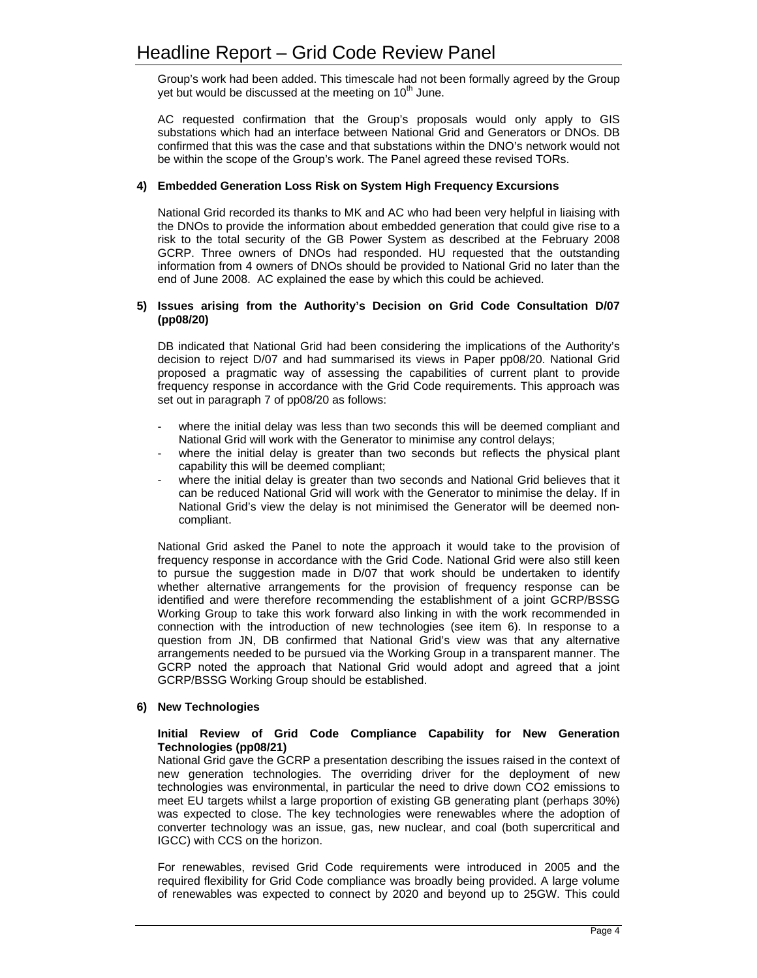Group's work had been added. This timescale had not been formally agreed by the Group yet but would be discussed at the meeting on  $10<sup>th</sup>$  June.

AC requested confirmation that the Group's proposals would only apply to GIS substations which had an interface between National Grid and Generators or DNOs. DB confirmed that this was the case and that substations within the DNO's network would not be within the scope of the Group's work. The Panel agreed these revised TORs.

## **4) Embedded Generation Loss Risk on System High Frequency Excursions**

National Grid recorded its thanks to MK and AC who had been very helpful in liaising with the DNOs to provide the information about embedded generation that could give rise to a risk to the total security of the GB Power System as described at the February 2008 GCRP. Three owners of DNOs had responded. HU requested that the outstanding information from 4 owners of DNOs should be provided to National Grid no later than the end of June 2008. AC explained the ease by which this could be achieved.

## **5) Issues arising from the Authority's Decision on Grid Code Consultation D/07 (pp08/20)**

DB indicated that National Grid had been considering the implications of the Authority's decision to reject D/07 and had summarised its views in Paper pp08/20. National Grid proposed a pragmatic way of assessing the capabilities of current plant to provide frequency response in accordance with the Grid Code requirements. This approach was set out in paragraph 7 of pp08/20 as follows:

- where the initial delay was less than two seconds this will be deemed compliant and National Grid will work with the Generator to minimise any control delays;
- where the initial delay is greater than two seconds but reflects the physical plant capability this will be deemed compliant;
- where the initial delay is greater than two seconds and National Grid believes that it can be reduced National Grid will work with the Generator to minimise the delay. If in National Grid's view the delay is not minimised the Generator will be deemed noncompliant.

 National Grid asked the Panel to note the approach it would take to the provision of frequency response in accordance with the Grid Code. National Grid were also still keen to pursue the suggestion made in D/07 that work should be undertaken to identify whether alternative arrangements for the provision of frequency response can be identified and were therefore recommending the establishment of a joint GCRP/BSSG Working Group to take this work forward also linking in with the work recommended in connection with the introduction of new technologies (see item 6). In response to a question from JN, DB confirmed that National Grid's view was that any alternative arrangements needed to be pursued via the Working Group in a transparent manner. The GCRP noted the approach that National Grid would adopt and agreed that a joint GCRP/BSSG Working Group should be established.

# **6) New Technologies**

## **Initial Review of Grid Code Compliance Capability for New Generation Technologies (pp08/21)**

National Grid gave the GCRP a presentation describing the issues raised in the context of new generation technologies. The overriding driver for the deployment of new technologies was environmental, in particular the need to drive down CO2 emissions to meet EU targets whilst a large proportion of existing GB generating plant (perhaps 30%) was expected to close. The key technologies were renewables where the adoption of converter technology was an issue, gas, new nuclear, and coal (both supercritical and IGCC) with CCS on the horizon.

For renewables, revised Grid Code requirements were introduced in 2005 and the required flexibility for Grid Code compliance was broadly being provided. A large volume of renewables was expected to connect by 2020 and beyond up to 25GW. This could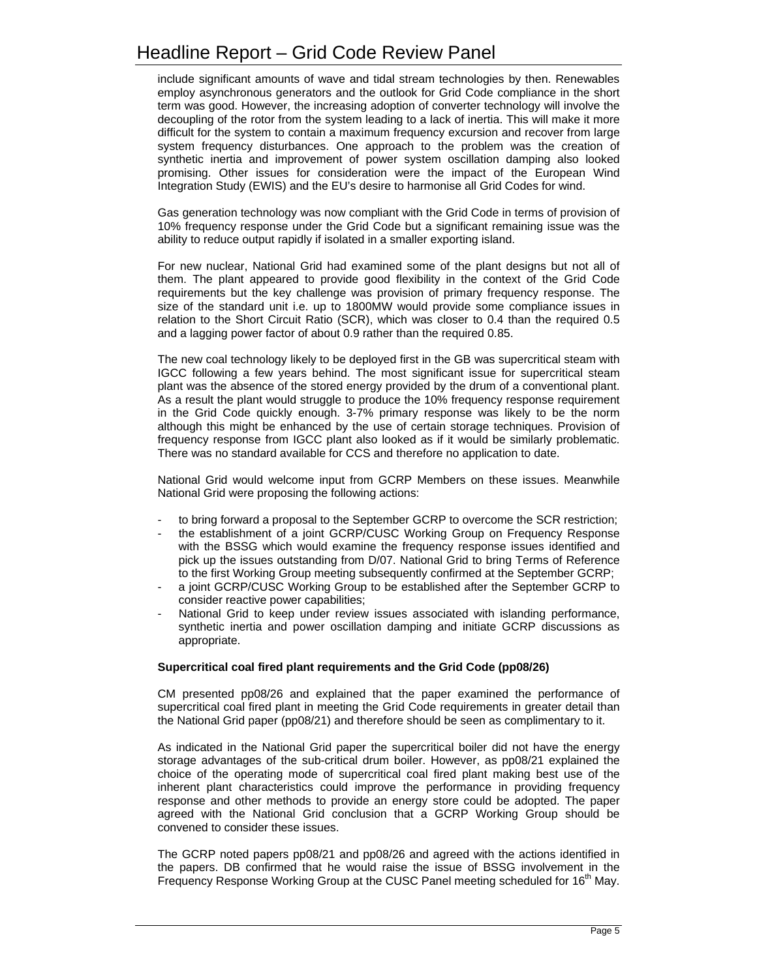include significant amounts of wave and tidal stream technologies by then. Renewables employ asynchronous generators and the outlook for Grid Code compliance in the short term was good. However, the increasing adoption of converter technology will involve the decoupling of the rotor from the system leading to a lack of inertia. This will make it more difficult for the system to contain a maximum frequency excursion and recover from large system frequency disturbances. One approach to the problem was the creation of synthetic inertia and improvement of power system oscillation damping also looked promising. Other issues for consideration were the impact of the European Wind Integration Study (EWIS) and the EU's desire to harmonise all Grid Codes for wind.

Gas generation technology was now compliant with the Grid Code in terms of provision of 10% frequency response under the Grid Code but a significant remaining issue was the ability to reduce output rapidly if isolated in a smaller exporting island.

For new nuclear, National Grid had examined some of the plant designs but not all of them. The plant appeared to provide good flexibility in the context of the Grid Code requirements but the key challenge was provision of primary frequency response. The size of the standard unit i.e. up to 1800MW would provide some compliance issues in relation to the Short Circuit Ratio (SCR), which was closer to 0.4 than the required 0.5 and a lagging power factor of about 0.9 rather than the required 0.85.

The new coal technology likely to be deployed first in the GB was supercritical steam with IGCC following a few years behind. The most significant issue for supercritical steam plant was the absence of the stored energy provided by the drum of a conventional plant. As a result the plant would struggle to produce the 10% frequency response requirement in the Grid Code quickly enough. 3-7% primary response was likely to be the norm although this might be enhanced by the use of certain storage techniques. Provision of frequency response from IGCC plant also looked as if it would be similarly problematic. There was no standard available for CCS and therefore no application to date.

National Grid would welcome input from GCRP Members on these issues. Meanwhile National Grid were proposing the following actions:

- to bring forward a proposal to the September GCRP to overcome the SCR restriction;
- the establishment of a joint GCRP/CUSC Working Group on Frequency Response with the BSSG which would examine the frequency response issues identified and pick up the issues outstanding from D/07. National Grid to bring Terms of Reference to the first Working Group meeting subsequently confirmed at the September GCRP;
- a joint GCRP/CUSC Working Group to be established after the September GCRP to consider reactive power capabilities;
- National Grid to keep under review issues associated with islanding performance, synthetic inertia and power oscillation damping and initiate GCRP discussions as appropriate.

#### **Supercritical coal fired plant requirements and the Grid Code (pp08/26)**

CM presented pp08/26 and explained that the paper examined the performance of supercritical coal fired plant in meeting the Grid Code requirements in greater detail than the National Grid paper (pp08/21) and therefore should be seen as complimentary to it.

As indicated in the National Grid paper the supercritical boiler did not have the energy storage advantages of the sub-critical drum boiler. However, as pp08/21 explained the choice of the operating mode of supercritical coal fired plant making best use of the inherent plant characteristics could improve the performance in providing frequency response and other methods to provide an energy store could be adopted. The paper agreed with the National Grid conclusion that a GCRP Working Group should be convened to consider these issues.

The GCRP noted papers pp08/21 and pp08/26 and agreed with the actions identified in the papers. DB confirmed that he would raise the issue of BSSG involvement in the Frequency Response Working Group at the CUSC Panel meeting scheduled for  $16<sup>th</sup>$  May.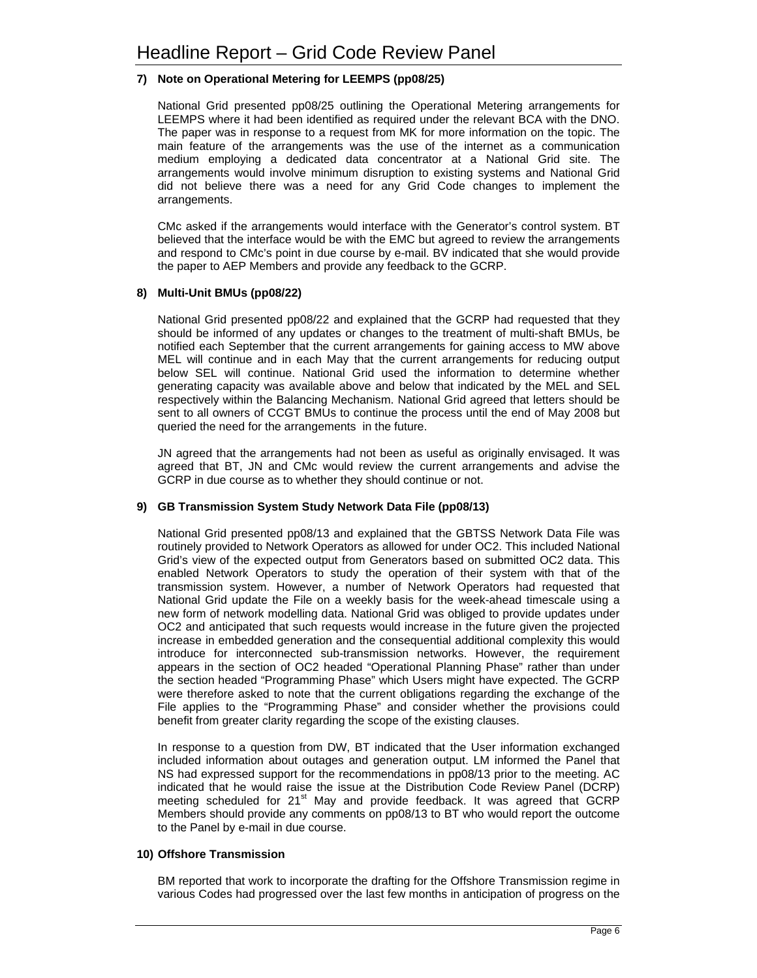# **7) Note on Operational Metering for LEEMPS (pp08/25)**

National Grid presented pp08/25 outlining the Operational Metering arrangements for LEEMPS where it had been identified as required under the relevant BCA with the DNO. The paper was in response to a request from MK for more information on the topic. The main feature of the arrangements was the use of the internet as a communication medium employing a dedicated data concentrator at a National Grid site. The arrangements would involve minimum disruption to existing systems and National Grid did not believe there was a need for any Grid Code changes to implement the arrangements.

CMc asked if the arrangements would interface with the Generator's control system. BT believed that the interface would be with the EMC but agreed to review the arrangements and respond to CMc's point in due course by e-mail. BV indicated that she would provide the paper to AEP Members and provide any feedback to the GCRP.

## **8) Multi-Unit BMUs (pp08/22)**

National Grid presented pp08/22 and explained that the GCRP had requested that they should be informed of any updates or changes to the treatment of multi-shaft BMUs, be notified each September that the current arrangements for gaining access to MW above MEL will continue and in each May that the current arrangements for reducing output below SEL will continue. National Grid used the information to determine whether generating capacity was available above and below that indicated by the MEL and SEL respectively within the Balancing Mechanism. National Grid agreed that letters should be sent to all owners of CCGT BMUs to continue the process until the end of May 2008 but queried the need for the arrangements in the future.

JN agreed that the arrangements had not been as useful as originally envisaged. It was agreed that BT, JN and CMc would review the current arrangements and advise the GCRP in due course as to whether they should continue or not.

# **9) GB Transmission System Study Network Data File (pp08/13)**

National Grid presented pp08/13 and explained that the GBTSS Network Data File was routinely provided to Network Operators as allowed for under OC2. This included National Grid's view of the expected output from Generators based on submitted OC2 data. This enabled Network Operators to study the operation of their system with that of the transmission system. However, a number of Network Operators had requested that National Grid update the File on a weekly basis for the week-ahead timescale using a new form of network modelling data. National Grid was obliged to provide updates under OC2 and anticipated that such requests would increase in the future given the projected increase in embedded generation and the consequential additional complexity this would introduce for interconnected sub-transmission networks. However, the requirement appears in the section of OC2 headed "Operational Planning Phase" rather than under the section headed "Programming Phase" which Users might have expected. The GCRP were therefore asked to note that the current obligations regarding the exchange of the File applies to the "Programming Phase" and consider whether the provisions could benefit from greater clarity regarding the scope of the existing clauses.

In response to a question from DW, BT indicated that the User information exchanged included information about outages and generation output. LM informed the Panel that NS had expressed support for the recommendations in pp08/13 prior to the meeting. AC indicated that he would raise the issue at the Distribution Code Review Panel (DCRP) meeting scheduled for 21<sup>st</sup> May and provide feedback. It was agreed that GCRP Members should provide any comments on pp08/13 to BT who would report the outcome to the Panel by e-mail in due course.

#### **10) Offshore Transmission**

BM reported that work to incorporate the drafting for the Offshore Transmission regime in various Codes had progressed over the last few months in anticipation of progress on the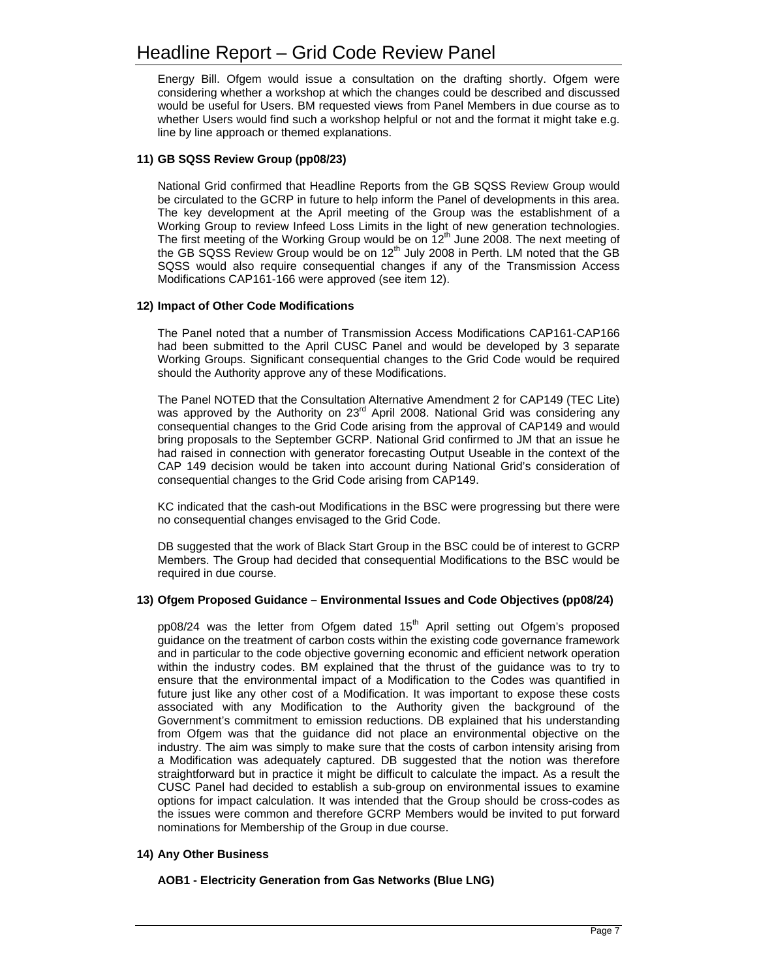Energy Bill. Ofgem would issue a consultation on the drafting shortly. Ofgem were considering whether a workshop at which the changes could be described and discussed would be useful for Users. BM requested views from Panel Members in due course as to whether Users would find such a workshop helpful or not and the format it might take e.g. line by line approach or themed explanations.

# **11) GB SQSS Review Group (pp08/23)**

National Grid confirmed that Headline Reports from the GB SQSS Review Group would be circulated to the GCRP in future to help inform the Panel of developments in this area. The key development at the April meeting of the Group was the establishment of a Working Group to review Infeed Loss Limits in the light of new generation technologies. The first meeting of the Working Group would be on  $12<sup>th</sup>$  June 2008. The next meeting of the GB SQSS Review Group would be on 12<sup>th</sup> July 2008 in Perth. LM noted that the GB SQSS would also require consequential changes if any of the Transmission Access Modifications CAP161-166 were approved (see item 12).

#### **12) Impact of Other Code Modifications**

The Panel noted that a number of Transmission Access Modifications CAP161-CAP166 had been submitted to the April CUSC Panel and would be developed by 3 separate Working Groups. Significant consequential changes to the Grid Code would be required should the Authority approve any of these Modifications.

The Panel NOTED that the Consultation Alternative Amendment 2 for CAP149 (TEC Lite) was approved by the Authority on  $23<sup>rd</sup>$  April 2008. National Grid was considering any consequential changes to the Grid Code arising from the approval of CAP149 and would bring proposals to the September GCRP. National Grid confirmed to JM that an issue he had raised in connection with generator forecasting Output Useable in the context of the CAP 149 decision would be taken into account during National Grid's consideration of consequential changes to the Grid Code arising from CAP149.

KC indicated that the cash-out Modifications in the BSC were progressing but there were no consequential changes envisaged to the Grid Code.

DB suggested that the work of Black Start Group in the BSC could be of interest to GCRP Members. The Group had decided that consequential Modifications to the BSC would be required in due course.

#### **13) Ofgem Proposed Guidance – Environmental Issues and Code Objectives (pp08/24)**

pp08/24 was the letter from Ofgem dated  $15<sup>th</sup>$  April setting out Ofgem's proposed guidance on the treatment of carbon costs within the existing code governance framework and in particular to the code objective governing economic and efficient network operation within the industry codes. BM explained that the thrust of the guidance was to try to ensure that the environmental impact of a Modification to the Codes was quantified in future just like any other cost of a Modification. It was important to expose these costs associated with any Modification to the Authority given the background of the Government's commitment to emission reductions. DB explained that his understanding from Ofgem was that the guidance did not place an environmental objective on the industry. The aim was simply to make sure that the costs of carbon intensity arising from a Modification was adequately captured. DB suggested that the notion was therefore straightforward but in practice it might be difficult to calculate the impact. As a result the CUSC Panel had decided to establish a sub-group on environmental issues to examine options for impact calculation. It was intended that the Group should be cross-codes as the issues were common and therefore GCRP Members would be invited to put forward nominations for Membership of the Group in due course.

#### **14) Any Other Business**

#### **AOB1 - Electricity Generation from Gas Networks (Blue LNG)**